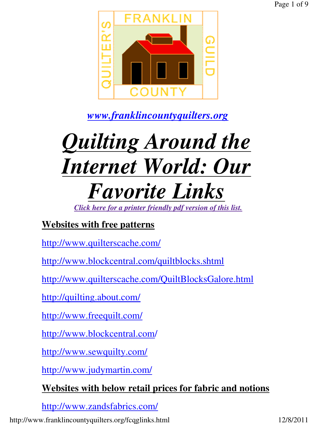

*www.franklincountyquilters.org*

# *Quilting Around the Internet World: Our Favorite Links*

*Click here for a printer friendly pdf version of this list.*

# **Websites with free patterns**

http://www.quilterscache.com/

http://www.blockcentral.com/quiltblocks.shtml

http://www.quilterscache.com/QuiltBlocksGalore.html

http://quilting.about.com/

http://www.freequilt.com/

http://www.blockcentral.com/

http://www.sewquilty.com/

http://www.judymartin.com/

## **Websites with below retail prices for fabric and notions**

http://www.zandsfabrics.com/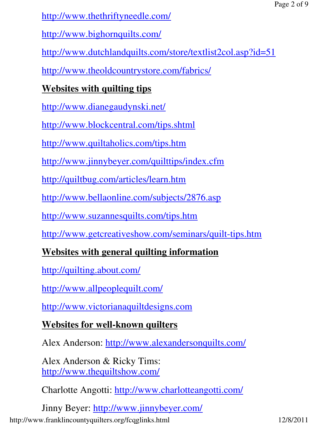http://www.thethriftyneedle.com/

http://www.bighornquilts.com/

http://www.dutchlandquilts.com/store/textlist2col.asp?id=51

http://www.theoldcountrystore.com/fabrics/

# **Websites with quilting tips**

http://www.dianegaudynski.net/

http://www.blockcentral.com/tips.shtml

http://www.quiltaholics.com/tips.htm

http://www.jinnybeyer.com/quilttips/index.cfm

http://quiltbug.com/articles/learn.htm

http://www.bellaonline.com/subjects/2876.asp

http://www.suzannesquilts.com/tips.htm

http://www.getcreativeshow.com/seminars/quilt-tips.htm

## **Websites with general quilting information**

http://quilting.about.com/

http://www.allpeoplequilt.com/

http://www.victorianaquiltdesigns.com

## **Websites for well-known quilters**

Alex Anderson: http://www.alexandersonquilts.com/

Alex Anderson & Ricky Tims: http://www.thequiltshow.com/

Charlotte Angotti: http://www.charlotteangotti.com/

Jinny Beyer: http://www.jinnybeyer.com/ http://www.franklincountyquilters.org/fcqglinks.html 12/8/2011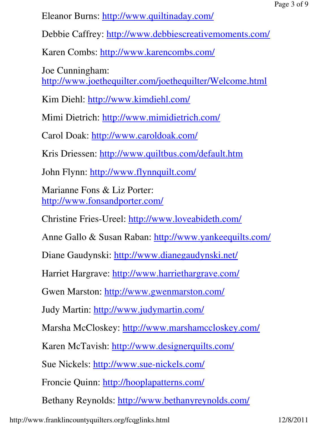Eleanor Burns: http://www.quiltinaday.com/

Debbie Caffrey: http://www.debbiescreativemoments.com/

Karen Combs: http://www.karencombs.com/

Joe Cunningham: http://www.joethequilter.com/joethequilter/Welcome.html

Kim Diehl: http://www.kimdiehl.com/

Mimi Dietrich: http://www.mimidietrich.com/

Carol Doak: http://www.caroldoak.com/

Kris Driessen: http://www.quiltbus.com/default.htm

John Flynn: http://www.flynnquilt.com/

Marianne Fons & Liz Porter: http://www.fonsandporter.com/

Christine Fries-Ureel: http://www.loveabideth.com/

Anne Gallo & Susan Raban: http://www.yankeequilts.com/

Diane Gaudynski: http://www.dianegaudynski.net/

Harriet Hargrave: http://www.harriethargrave.com/

Gwen Marston: http://www.gwenmarston.com/

Judy Martin: http://www.judymartin.com/

Marsha McCloskey: http://www.marshamccloskey.com/

Karen McTavish: http://www.designerquilts.com/

Sue Nickels: http://www.sue-nickels.com/

Froncie Quinn: http://hooplapatterns.com/

Bethany Reynolds: http://www.bethanyreynolds.com/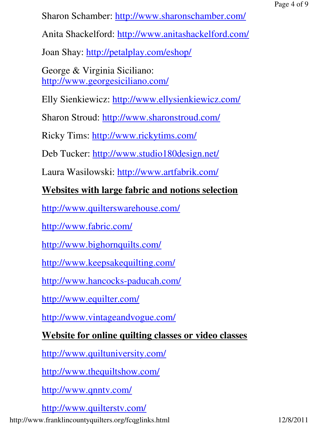Sharon Schamber: http://www.sharonschamber.com/

Anita Shackelford: http://www.anitashackelford.com/

Joan Shay: http://petalplay.com/eshop/

George & Virginia Siciliano: http://www.georgesiciliano.com/

Elly Sienkiewicz: http://www.ellysienkiewicz.com/

Sharon Stroud: http://www.sharonstroud.com/

Ricky Tims: http://www.rickytims.com/

Deb Tucker: http://www.studio180design.net/

Laura Wasilowski: http://www.artfabrik.com/

## **Websites with large fabric and notions selection**

http://www.quilterswarehouse.com/

http://www.fabric.com/

http://www.bighornquilts.com/

http://www.keepsakequilting.com/

http://www.hancocks-paducah.com/

http://www.equilter.com/

http://www.vintageandvogue.com/

## **Website for online quilting classes or video classes**

http://www.quiltuniversity.com/

http://www.thequiltshow.com/

http://www.qnntv.com/

http://www.quilterstv.com/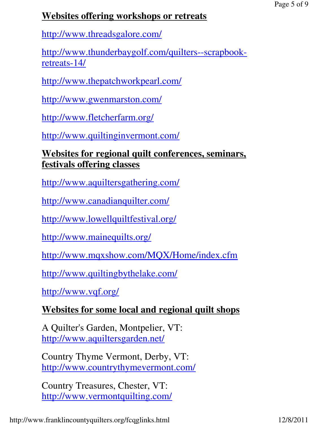## **Websites offering workshops or retreats**

http://www.threadsgalore.com/

http://www.thunderbaygolf.com/quilters--scrapbookretreats-14/

http://www.thepatchworkpearl.com/

http://www.gwenmarston.com/

http://www.fletcherfarm.org/

http://www.quiltinginvermont.com/

#### **Websites for regional quilt conferences, seminars, festivals offering classes**

http://www.aquiltersgathering.com/

http://www.canadianquilter.com/

http://www.lowellquiltfestival.org/

http://www.mainequilts.org/

http://www.mqxshow.com/MQX/Home/index.cfm

http://www.quiltingbythelake.com/

http://www.vqf.org/

## **Websites for some local and regional quilt shops**

A Quilter's Garden, Montpelier, VT: http://www.aquiltersgarden.net/

Country Thyme Vermont, Derby, VT: http://www.countrythymevermont.com/

Country Treasures, Chester, VT: http://www.vermontquilting.com/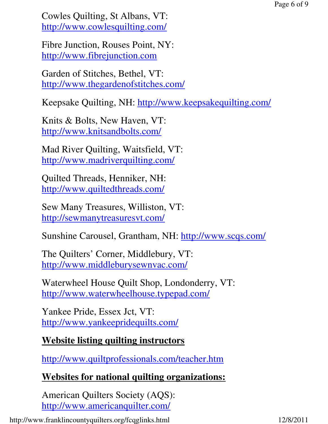Cowles Quilting, St Albans, VT: http://www.cowlesquilting.com/

Fibre Junction, Rouses Point, NY: http://www.fibrejunction.com

Garden of Stitches, Bethel, VT: http://www.thegardenofstitches.com/

Keepsake Quilting, NH: http://www.keepsakequilting.com/

Knits & Bolts, New Haven, VT: http://www.knitsandbolts.com/

Mad River Quilting, Waitsfield, VT: http://www.madriverquilting.com/

Quilted Threads, Henniker, NH: http://www.quiltedthreads.com/

Sew Many Treasures, Williston, VT: http://sewmanytreasuresvt.com/

Sunshine Carousel, Grantham, NH: http://www.scqs.com/

The Quilters' Corner, Middlebury, VT: http://www.middleburysewnvac.com/

Waterwheel House Quilt Shop, Londonderry, VT: http://www.waterwheelhouse.typepad.com/

Yankee Pride, Essex Jct, VT: http://www.yankeepridequilts.com/

#### **Website listing quilting instructors**

http://www.quiltprofessionals.com/teacher.htm

## **Websites for national quilting organizations:**

American Quilters Society (AQS): http://www.americanquilter.com/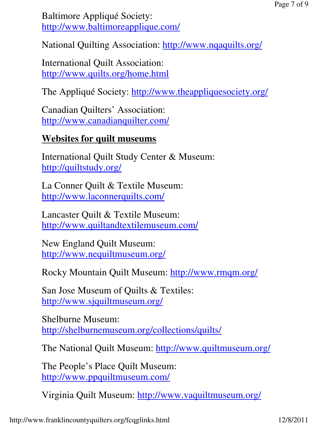Baltimore Appliqué Society: http://www.baltimoreapplique.com/

National Quilting Association: http://www.nqaquilts.org/

International Quilt Association: http://www.quilts.org/home.html

The Appliqué Society: http://www.theappliquesociety.org/

Canadian Quilters' Association: http://www.canadianquilter.com/

#### **Websites for quilt museums**

International Quilt Study Center & Museum: http://quiltstudy.org/

La Conner Quilt & Textile Museum: http://www.laconnerquilts.com/

Lancaster Quilt & Textile Museum: http://www.quiltandtextilemuseum.com/

New England Quilt Museum: http://www.nequiltmuseum.org/

Rocky Mountain Quilt Museum: http://www.rmqm.org/

San Jose Museum of Quilts & Textiles: http://www.sjquiltmuseum.org/

Shelburne Museum: http://shelburnemuseum.org/collections/quilts/

The National Quilt Museum: http://www.quiltmuseum.org/

The People's Place Quilt Museum: http://www.ppquiltmuseum.com/

Virginia Quilt Museum: http://www.vaquiltmuseum.org/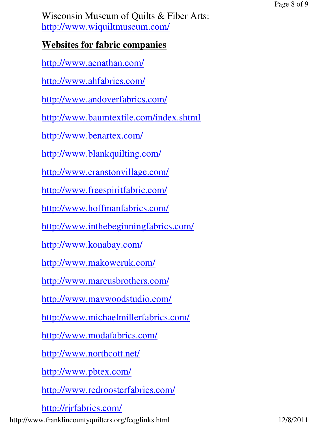Wisconsin Museum of Quilts & Fiber Arts: http://www.wiquiltmuseum.com/

## **Websites for fabric companies**

http://www.aenathan.com/

http://www.ahfabrics.com/

http://www.andoverfabrics.com/

http://www.baumtextile.com/index.shtml

http://www.benartex.com/

http://www.blankquilting.com/

http://www.cranstonvillage.com/

http://www.freespiritfabric.com/

http://www.hoffmanfabrics.com/

http://www.inthebeginningfabrics.com/

http://www.konabay.com/

http://www.makoweruk.com/

http://www.marcusbrothers.com/

http://www.maywoodstudio.com/

http://www.michaelmillerfabrics.com/

http://www.modafabrics.com/

http://www.northcott.net/

http://www.pbtex.com/

http://www.redroosterfabrics.com/

http://rjrfabrics.com/